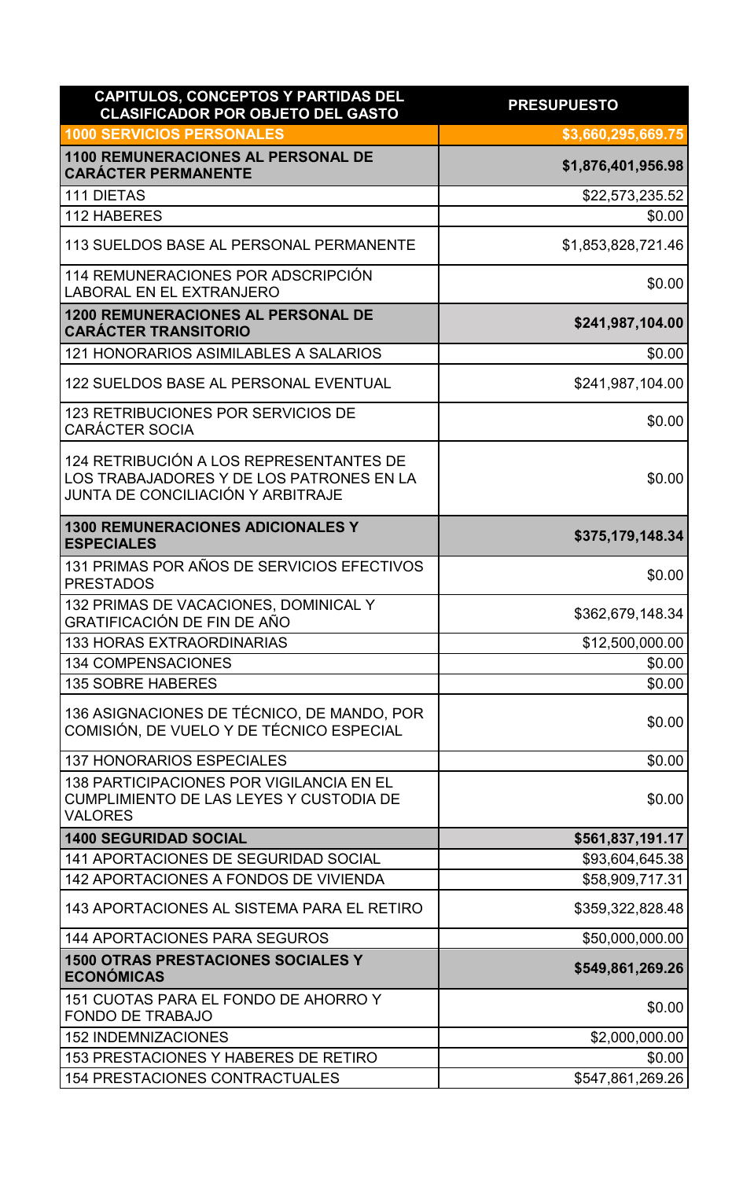| CAPITULOS, CONCEPTOS Y PARTIDAS DEL<br><b>CLASIFICADOR POR OBJETO DEL GASTO</b>                                          | <b>PRESUPUESTO</b> |
|--------------------------------------------------------------------------------------------------------------------------|--------------------|
| <b>1000 SERVICIOS PERSONALES</b>                                                                                         | \$3,660,295,669.75 |
| <b>1100 REMUNERACIONES AL PERSONAL DE</b><br><b>CARÁCTER PERMANENTE</b>                                                  | \$1,876,401,956.98 |
| <b>111 DIETAS</b>                                                                                                        | \$22,573,235.52    |
| 112 HABERES                                                                                                              | \$0.00             |
| 113 SUELDOS BASE AL PERSONAL PERMANENTE                                                                                  | \$1,853,828,721.46 |
| 114 REMUNERACIONES POR ADSCRIPCIÓN<br><b>LABORAL EN EL EXTRANJERO</b>                                                    | \$0.00             |
| <b>1200 REMUNERACIONES AL PERSONAL DE</b><br><b>CARÁCTER TRANSITORIO</b>                                                 | \$241,987,104.00   |
| 121 HONORARIOS ASIMILABLES A SALARIOS                                                                                    | \$0.00             |
| 122 SUELDOS BASE AL PERSONAL EVENTUAL                                                                                    | \$241,987,104.00   |
| <b>123 RETRIBUCIONES POR SERVICIOS DE</b><br><b>CARÁCTER SOCIA</b>                                                       | \$0.00             |
| 124 RETRIBUCIÓN A LOS REPRESENTANTES DE<br>LOS TRABAJADORES Y DE LOS PATRONES EN LA<br>JUNTA DE CONCILIACIÓN Y ARBITRAJE | \$0.00             |
| <b>1300 REMUNERACIONES ADICIONALES Y</b><br><b>ESPECIALES</b>                                                            | \$375,179,148.34   |
| 131 PRIMAS POR AÑOS DE SERVICIOS EFECTIVOS<br><b>PRESTADOS</b>                                                           | \$0.00             |
| 132 PRIMAS DE VACACIONES, DOMINICAL Y<br>GRATIFICACIÓN DE FIN DE AÑO                                                     | \$362,679,148.34   |
| <b>133 HORAS EXTRAORDINARIAS</b>                                                                                         | \$12,500,000.00    |
| <b>134 COMPENSACIONES</b>                                                                                                | \$0.00             |
| <b>135 SOBRE HABERES</b>                                                                                                 | \$0.00             |
| 136 ASIGNACIONES DE TÉCNICO, DE MANDO, POR<br>COMISIÓN, DE VUELO Y DE TÉCNICO ESPECIAL                                   | \$0.00             |
| <b>137 HONORARIOS ESPECIALES</b>                                                                                         | \$0.00             |
| 138 PARTICIPACIONES POR VIGILANCIA EN EL<br><b>CUMPLIMIENTO DE LAS LEYES Y CUSTODIA DE</b><br><b>VALORES</b>             | \$0.00             |
| <b>1400 SEGURIDAD SOCIAL</b>                                                                                             | \$561,837,191.17   |
| 141 APORTACIONES DE SEGURIDAD SOCIAL                                                                                     | \$93,604,645.38    |
| 142 APORTACIONES A FONDOS DE VIVIENDA                                                                                    | \$58,909,717.31    |
| 143 APORTACIONES AL SISTEMA PARA EL RETIRO                                                                               | \$359,322,828.48   |
| <b>144 APORTACIONES PARA SEGUROS</b>                                                                                     | \$50,000,000.00    |
| <b>1500 OTRAS PRESTACIONES SOCIALES Y</b><br><b>ECONÓMICAS</b>                                                           | \$549,861,269.26   |
| 151 CUOTAS PARA EL FONDO DE AHORRO Y<br><b>FONDO DE TRABAJO</b>                                                          | \$0.00             |
| <b>152 INDEMNIZACIONES</b>                                                                                               | \$2,000,000.00     |
| 153 PRESTACIONES Y HABERES DE RETIRO                                                                                     | \$0.00             |
| <b>154 PRESTACIONES CONTRACTUALES</b>                                                                                    | \$547,861,269.26   |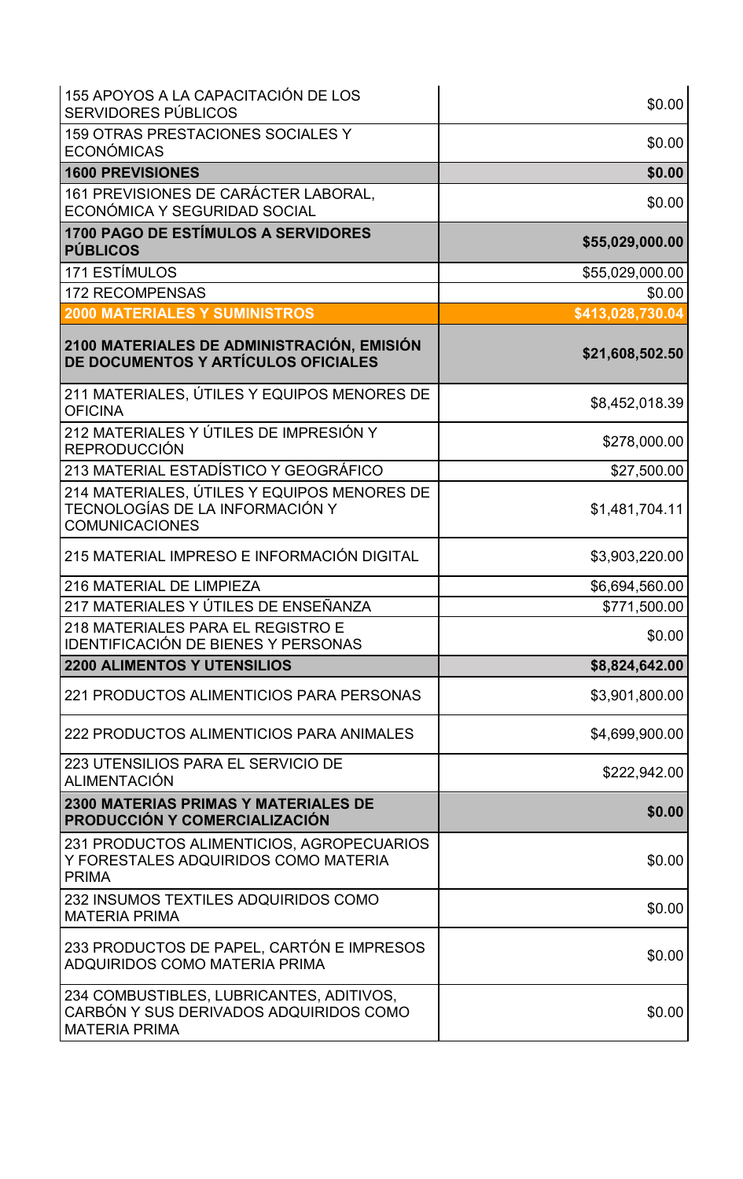| 155 APOYOS A LA CAPACITACIÓN DE LOS<br><b>SERVIDORES PÚBLICOS</b>                                          | \$0.00           |
|------------------------------------------------------------------------------------------------------------|------------------|
| 159 OTRAS PRESTACIONES SOCIALES Y<br><b>ECONÓMICAS</b>                                                     | \$0.00           |
| <b>1600 PREVISIONES</b>                                                                                    | \$0.00           |
| 161 PREVISIONES DE CARÁCTER LABORAL,<br>ECONÓMICA Y SEGURIDAD SOCIAL                                       | \$0.00           |
| <b>1700 PAGO DE ESTÍMULOS A SERVIDORES</b><br><b>PÚBLICOS</b>                                              | \$55,029,000.00  |
| 171 ESTÍMULOS                                                                                              | \$55,029,000.00  |
| <b>172 RECOMPENSAS</b>                                                                                     | \$0.00           |
| <b>2000 MATERIALES Y SUMINISTROS</b>                                                                       | \$413,028,730.04 |
| 2100 MATERIALES DE ADMINISTRACIÓN, EMISIÓN<br>DE DOCUMENTOS Y ARTÍCULOS OFICIALES                          | \$21,608,502.50  |
| 211 MATERIALES, ÚTILES Y EQUIPOS MENORES DE<br><b>OFICINA</b>                                              | \$8,452,018.39   |
| 212 MATERIALES Y ÚTILES DE IMPRESIÓN Y<br><b>REPRODUCCIÓN</b>                                              | \$278,000.00     |
| 213 MATERIAL ESTADÍSTICO Y GEOGRÁFICO                                                                      | \$27,500.00      |
| 214 MATERIALES, ÚTILES Y EQUIPOS MENORES DE<br>TECNOLOGÍAS DE LA INFORMACIÓN Y<br><b>COMUNICACIONES</b>    | \$1,481,704.11   |
| 215 MATERIAL IMPRESO E INFORMACIÓN DIGITAL                                                                 | \$3,903,220.00   |
| 216 MATERIAL DE LIMPIEZA                                                                                   | \$6,694,560.00   |
| 217 MATERIALES Y ÚTILES DE ENSEÑANZA                                                                       | \$771,500.00     |
| 218 MATERIALES PARA EL REGISTRO E<br><b>IDENTIFICACIÓN DE BIENES Y PERSONAS</b>                            | \$0.00           |
| <b>2200 ALIMENTOS Y UTENSILIOS</b>                                                                         | \$8,824,642.00   |
| 221 PRODUCTOS ALIMENTICIOS PARA PERSONAS                                                                   | \$3,901,800.00   |
| 222 PRODUCTOS ALIMENTICIOS PARA ANIMALES                                                                   | \$4,699,900.00   |
| 223 UTENSILIOS PARA EL SERVICIO DE<br>ALIMENTACIÓN                                                         | \$222,942.00     |
| <b>2300 MATERIAS PRIMAS Y MATERIALES DE</b><br>PRODUCCIÓN Y COMERCIALIZACIÓN                               | \$0.00           |
| 231 PRODUCTOS ALIMENTICIOS, AGROPECUARIOS<br>Y FORESTALES ADQUIRIDOS COMO MATERIA<br><b>PRIMA</b>          | \$0.00           |
| 232 INSUMOS TEXTILES ADQUIRIDOS COMO<br><b>MATERIA PRIMA</b>                                               | \$0.00           |
| 233 PRODUCTOS DE PAPEL, CARTÓN E IMPRESOS<br><b>ADQUIRIDOS COMO MATERIA PRIMA</b>                          | \$0.00           |
| 234 COMBUSTIBLES, LUBRICANTES, ADITIVOS,<br>CARBÓN Y SUS DERIVADOS ADQUIRIDOS COMO<br><b>MATERIA PRIMA</b> | \$0.00           |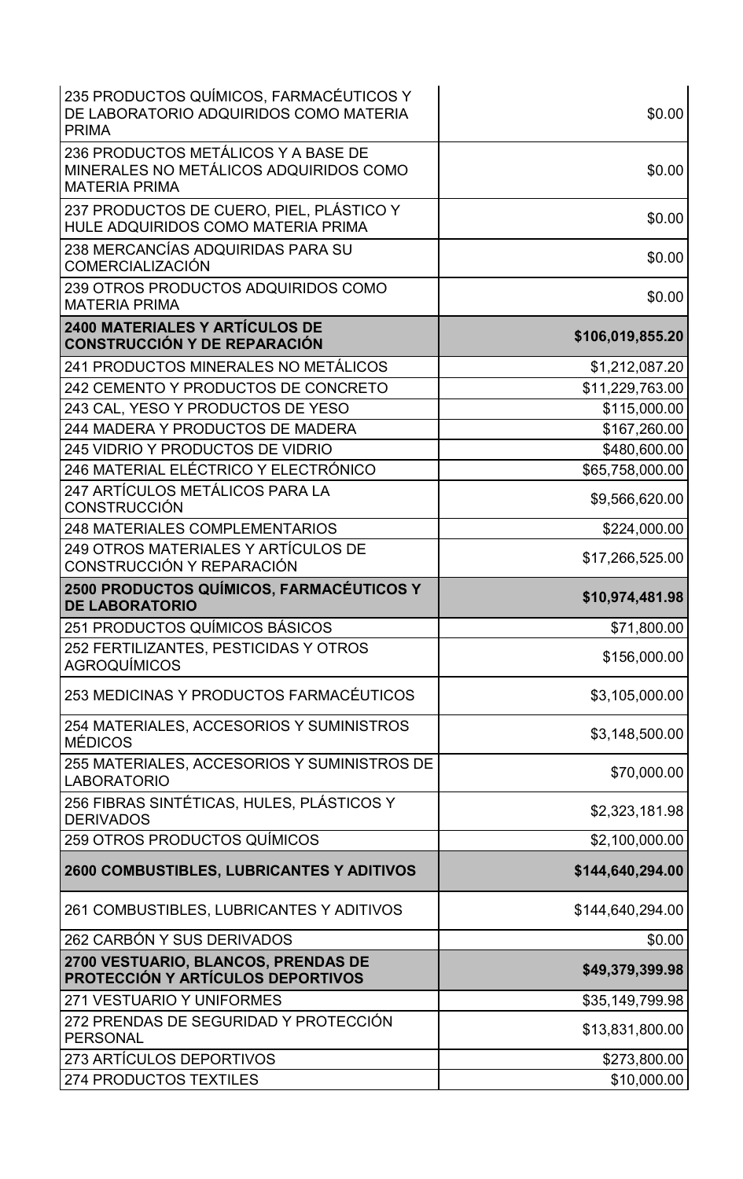| 235 PRODUCTOS QUÍMICOS, FARMACÉUTICOS Y<br>DE LABORATORIO ADQUIRIDOS COMO MATERIA<br><b>PRIMA</b>     | \$0.00           |
|-------------------------------------------------------------------------------------------------------|------------------|
| 236 PRODUCTOS METÁLICOS Y A BASE DE<br>MINERALES NO METÁLICOS ADQUIRIDOS COMO<br><b>MATERIA PRIMA</b> | \$0.00           |
| 237 PRODUCTOS DE CUERO, PIEL, PLÁSTICO Y<br>HULE ADQUIRIDOS COMO MATERIA PRIMA                        | \$0.00           |
| 238 MERCANCÍAS ADQUIRIDAS PARA SU<br><b>COMERCIALIZACIÓN</b>                                          | \$0.00           |
| 239 OTROS PRODUCTOS ADQUIRIDOS COMO<br><b>MATERIA PRIMA</b>                                           | \$0.00           |
| <b>2400 MATERIALES Y ARTÍCULOS DE</b><br><b>CONSTRUCCIÓN Y DE REPARACIÓN</b>                          | \$106,019,855.20 |
| 241 PRODUCTOS MINERALES NO METÁLICOS                                                                  | \$1,212,087.20   |
| 242 CEMENTO Y PRODUCTOS DE CONCRETO                                                                   | \$11,229,763.00  |
| 243 CAL, YESO Y PRODUCTOS DE YESO                                                                     | \$115,000.00     |
| 244 MADERA Y PRODUCTOS DE MADERA                                                                      | \$167,260.00     |
| 245 VIDRIO Y PRODUCTOS DE VIDRIO                                                                      | \$480,600.00     |
| 246 MATERIAL ELÉCTRICO Y ELECTRÓNICO                                                                  | \$65,758,000.00  |
| 247 ARTÍCULOS METÁLICOS PARA LA<br><b>CONSTRUCCIÓN</b>                                                | \$9,566,620.00   |
| <b>248 MATERIALES COMPLEMENTARIOS</b>                                                                 | \$224,000.00     |
| 249 OTROS MATERIALES Y ARTÍCULOS DE<br>CONSTRUCCIÓN Y REPARACIÓN                                      | \$17,266,525.00  |
| 2500 PRODUCTOS QUÍMICOS, FARMACÉUTICOS Y<br><b>DE LABORATORIO</b>                                     | \$10,974,481.98  |
|                                                                                                       |                  |
| 251 PRODUCTOS QUÍMICOS BÁSICOS                                                                        | \$71,800.00      |
| 252 FERTILIZANTES, PESTICIDAS Y OTROS<br><b>AGROQUÍMICOS</b>                                          | \$156,000.00     |
| 253 MEDICINAS Y PRODUCTOS FARMACÉUTICOS                                                               | \$3,105,000.00   |
| 254 MATERIALES, ACCESORIOS Y SUMINISTROS<br><b>MÉDICOS</b>                                            | \$3,148,500.00   |
| 255 MATERIALES, ACCESORIOS Y SUMINISTROS DE<br><b>LABORATORIO</b>                                     | \$70,000.00      |
| 256 FIBRAS SINTÉTICAS, HULES, PLÁSTICOS Y<br><b>DERIVADOS</b>                                         | \$2,323,181.98   |
| 259 OTROS PRODUCTOS QUÍMICOS                                                                          | \$2,100,000.00   |
| <b>2600 COMBUSTIBLES, LUBRICANTES Y ADITIVOS</b>                                                      | \$144,640,294.00 |
| 261 COMBUSTIBLES, LUBRICANTES Y ADITIVOS                                                              | \$144,640,294.00 |
| 262 CARBÓN Y SUS DERIVADOS                                                                            | \$0.00           |
| 2700 VESTUARIO, BLANCOS, PRENDAS DE<br>PROTECCIÓN Y ARTÍCULOS DEPORTIVOS                              | \$49,379,399.98  |
| 271 VESTUARIO Y UNIFORMES                                                                             | \$35,149,799.98  |
| 272 PRENDAS DE SEGURIDAD Y PROTECCIÓN<br><b>PERSONAL</b>                                              | \$13,831,800.00  |
| 273 ARTÍCULOS DEPORTIVOS                                                                              | \$273,800.00     |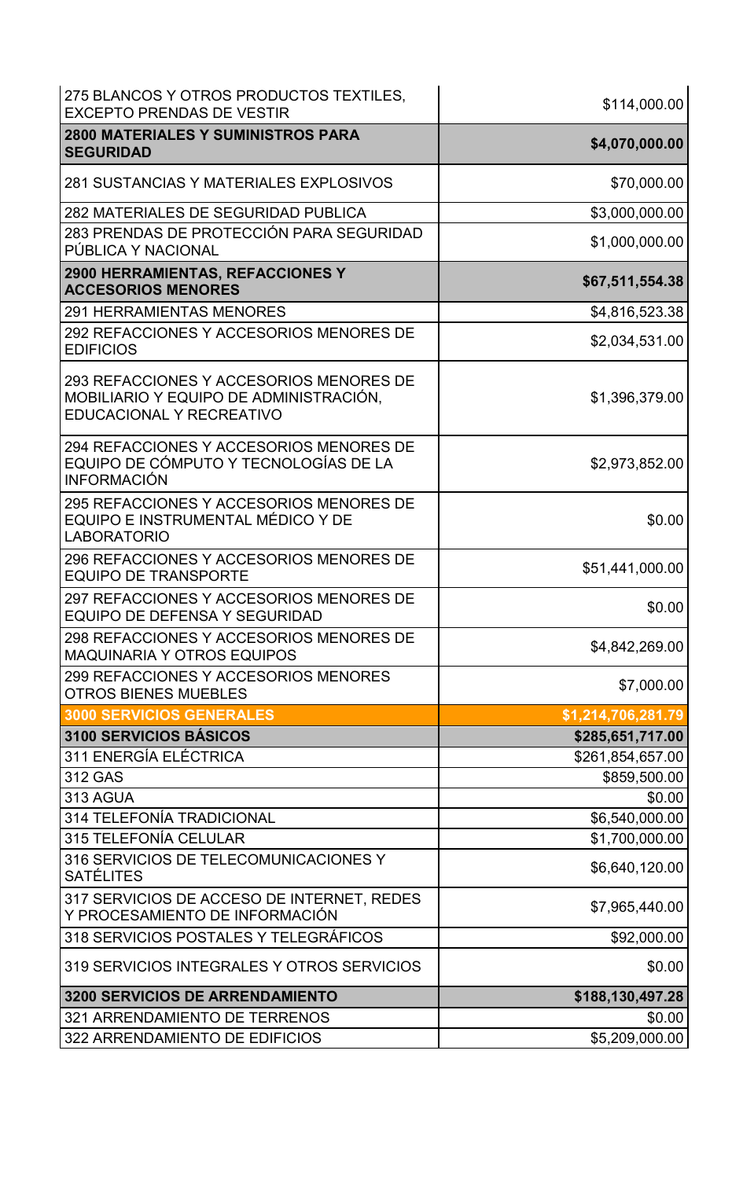| 275 BLANCOS Y OTROS PRODUCTOS TEXTILES,<br><b>EXCEPTO PRENDAS DE VESTIR</b>                                   | \$114,000.00       |
|---------------------------------------------------------------------------------------------------------------|--------------------|
| <b>2800 MATERIALES Y SUMINISTROS PARA</b><br><b>SEGURIDAD</b>                                                 | \$4,070,000.00     |
| 281 SUSTANCIAS Y MATERIALES EXPLOSIVOS                                                                        | \$70,000.00        |
| <b>282 MATERIALES DE SEGURIDAD PUBLICA</b>                                                                    | \$3,000,000.00     |
| 283 PRENDAS DE PROTECCIÓN PARA SEGURIDAD<br>PÚBLICA Y NACIONAL                                                | \$1,000,000.00     |
| <b>2900 HERRAMIENTAS, REFACCIONES Y</b><br><b>ACCESORIOS MENORES</b>                                          | \$67,511,554.38    |
| <b>291 HERRAMIENTAS MENORES</b>                                                                               | \$4,816,523.38     |
| 292 REFACCIONES Y ACCESORIOS MENORES DE<br><b>EDIFICIOS</b>                                                   | \$2,034,531.00     |
| 293 REFACCIONES Y ACCESORIOS MENORES DE<br>MOBILIARIO Y EQUIPO DE ADMINISTRACIÓN.<br>EDUCACIONAL Y RECREATIVO | \$1,396,379.00     |
| 294 REFACCIONES Y ACCESORIOS MENORES DE<br>EQUIPO DE CÓMPUTO Y TECNOLOGÍAS DE LA<br><b>INFORMACIÓN</b>        | \$2,973,852.00     |
| 295 REFACCIONES Y ACCESORIOS MENORES DE<br>EQUIPO E INSTRUMENTAL MÉDICO Y DE<br><b>LABORATORIO</b>            | \$0.00             |
| 296 REFACCIONES Y ACCESORIOS MENORES DE<br><b>EQUIPO DE TRANSPORTE</b>                                        | \$51,441,000.00    |
| 297 REFACCIONES Y ACCESORIOS MENORES DE<br>EQUIPO DE DEFENSA Y SEGURIDAD                                      | \$0.00             |
| 298 REFACCIONES Y ACCESORIOS MENORES DE<br><b>MAQUINARIA Y OTROS EQUIPOS</b>                                  | \$4,842,269.00     |
| 299 REFACCIONES Y ACCESORIOS MENORES<br><b>OTROS BIENES MUEBLES</b>                                           | \$7,000.00         |
| <b>3000 SERVICIOS GENERALES</b>                                                                               | \$1,214,706,281.79 |
| 3100 SERVICIOS BÁSICOS                                                                                        | \$285,651,717.00   |
| 311 ENERGÍA ELÉCTRICA                                                                                         | \$261,854,657.00   |
| 312 GAS                                                                                                       | \$859,500.00       |
| 313 AGUA                                                                                                      | \$0.00             |
| <b>314 TELEFONÍA TRADICIONAL</b>                                                                              | \$6,540,000.00     |
| <b>315 TELEFONÍA CELULAR</b>                                                                                  | \$1,700,000.00     |
| 316 SERVICIOS DE TELECOMUNICACIONES Y<br><b>SATÉLITES</b>                                                     | \$6,640,120.00     |
| 317 SERVICIOS DE ACCESO DE INTERNET, REDES<br>Y PROCESAMIENTO DE INFORMACIÓN                                  | \$7,965,440.00     |
| 318 SERVICIOS POSTALES Y TELEGRÁFICOS                                                                         | \$92,000.00        |
| 319 SERVICIOS INTEGRALES Y OTROS SERVICIOS                                                                    | \$0.00             |
| <b>3200 SERVICIOS DE ARRENDAMIENTO</b>                                                                        | \$188,130,497.28   |
| 321 ARRENDAMIENTO DE TERRENOS                                                                                 | \$0.00             |
| 322 ARRENDAMIENTO DE EDIFICIOS                                                                                | \$5,209,000.00     |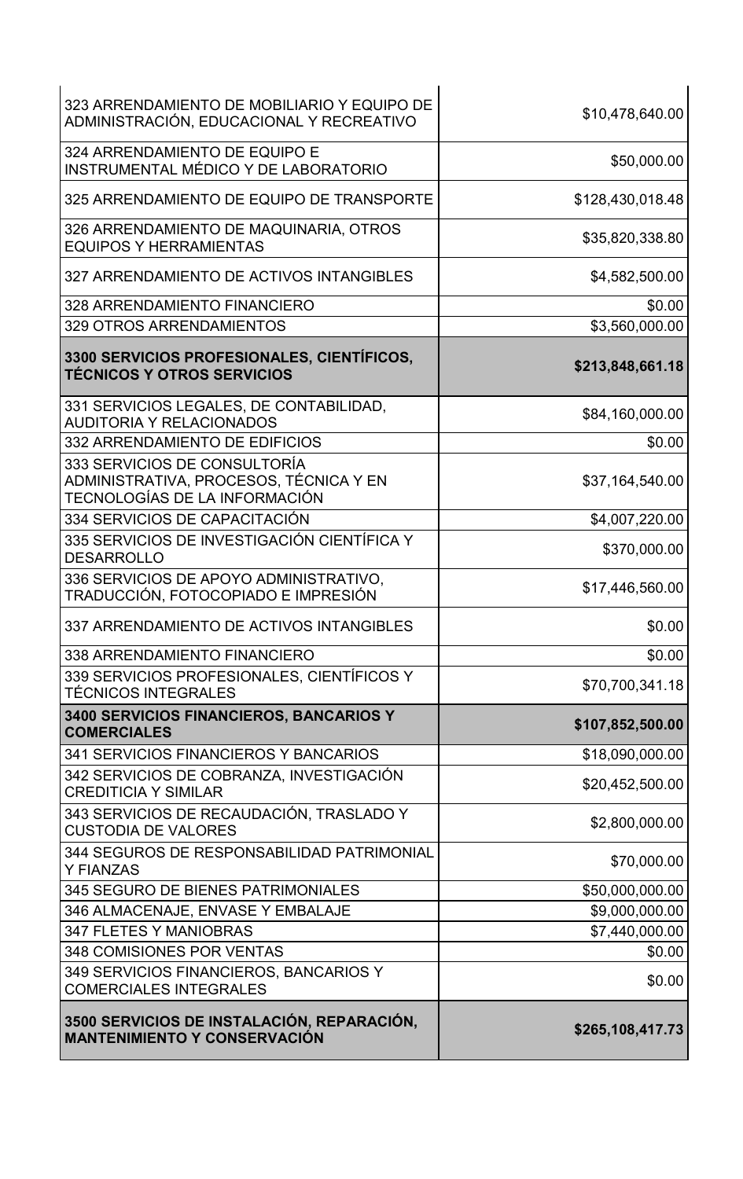| 323 ARRENDAMIENTO DE MOBILIARIO Y EQUIPO DE<br>ADMINISTRACIÓN, EDUCACIONAL Y RECREATIVO                 | \$10,478,640.00  |
|---------------------------------------------------------------------------------------------------------|------------------|
| 324 ARRENDAMIENTO DE EQUIPO E<br>INSTRUMENTAL MÉDICO Y DE LABORATORIO                                   | \$50,000.00      |
| 325 ARRENDAMIENTO DE EQUIPO DE TRANSPORTE                                                               | \$128,430,018.48 |
| 326 ARRENDAMIENTO DE MAQUINARIA, OTROS<br><b>EQUIPOS Y HERRAMIENTAS</b>                                 | \$35,820,338.80  |
| 327 ARRENDAMIENTO DE ACTIVOS INTANGIBLES                                                                | \$4,582,500.00   |
| 328 ARRENDAMIENTO FINANCIERO                                                                            | \$0.00           |
| 329 OTROS ARRENDAMIENTOS                                                                                | \$3,560,000.00   |
| 3300 SERVICIOS PROFESIONALES, CIENTÍFICOS,<br><b>TÉCNICOS Y OTROS SERVICIOS</b>                         | \$213,848,661.18 |
| 331 SERVICIOS LEGALES, DE CONTABILIDAD,<br><b>AUDITORIA Y RELACIONADOS</b>                              | \$84,160,000.00  |
| 332 ARRENDAMIENTO DE EDIFICIOS                                                                          | \$0.00           |
| 333 SERVICIOS DE CONSULTORÍA<br>ADMINISTRATIVA, PROCESOS, TÉCNICA Y EN<br>TECNOLOGÍAS DE LA INFORMACIÓN | \$37,164,540.00  |
| 334 SERVICIOS DE CAPACITACIÓN                                                                           | \$4,007,220.00   |
| 335 SERVICIOS DE INVESTIGACIÓN CIENTÍFICA Y<br><b>DESARROLLO</b>                                        | \$370,000.00     |
| 336 SERVICIOS DE APOYO ADMINISTRATIVO,<br>TRADUCCIÓN, FOTOCOPIADO E IMPRESIÓN                           | \$17,446,560.00  |
| 337 ARRENDAMIENTO DE ACTIVOS INTANGIBLES                                                                | \$0.00           |
| 338 ARRENDAMIENTO FINANCIERO                                                                            | \$0.00           |
| 339 SERVICIOS PROFESIONALES, CIENTÍFICOS Y<br><b>TÉCNICOS INTEGRALES</b>                                | \$70,700,341.18  |
| 3400 SERVICIOS FINANCIEROS, BANCARIOS Y<br><b>COMERCIALES</b>                                           | \$107,852,500.00 |
| 341 SERVICIOS FINANCIEROS Y BANCARIOS                                                                   | \$18,090,000.00  |
| 342 SERVICIOS DE COBRANZA, INVESTIGACIÓN<br><b>CREDITICIA Y SIMILAR</b>                                 | \$20,452,500.00  |
| 343 SERVICIOS DE RECAUDACIÓN, TRASLADO Y<br><b>CUSTODIA DE VALORES</b>                                  | \$2,800,000.00   |
| 344 SEGUROS DE RESPONSABILIDAD PATRIMONIAL<br><b>Y FIANZAS</b>                                          | \$70,000.00      |
| 345 SEGURO DE BIENES PATRIMONIALES                                                                      | \$50,000,000.00  |
| 346 ALMACENAJE, ENVASE Y EMBALAJE                                                                       | \$9,000,000.00   |
| <b>347 FLETES Y MANIOBRAS</b>                                                                           | \$7,440,000.00   |
| 348 COMISIONES POR VENTAS                                                                               | \$0.00           |
| 349 SERVICIOS FINANCIEROS, BANCARIOS Y<br><b>COMERCIALES INTEGRALES</b>                                 | \$0.00           |
| 3500 SERVICIOS DE INSTALACIÓN, REPARACIÓN,<br><b>MANTENIMIENTO Y CONSERVACIÓN</b>                       | \$265,108,417.73 |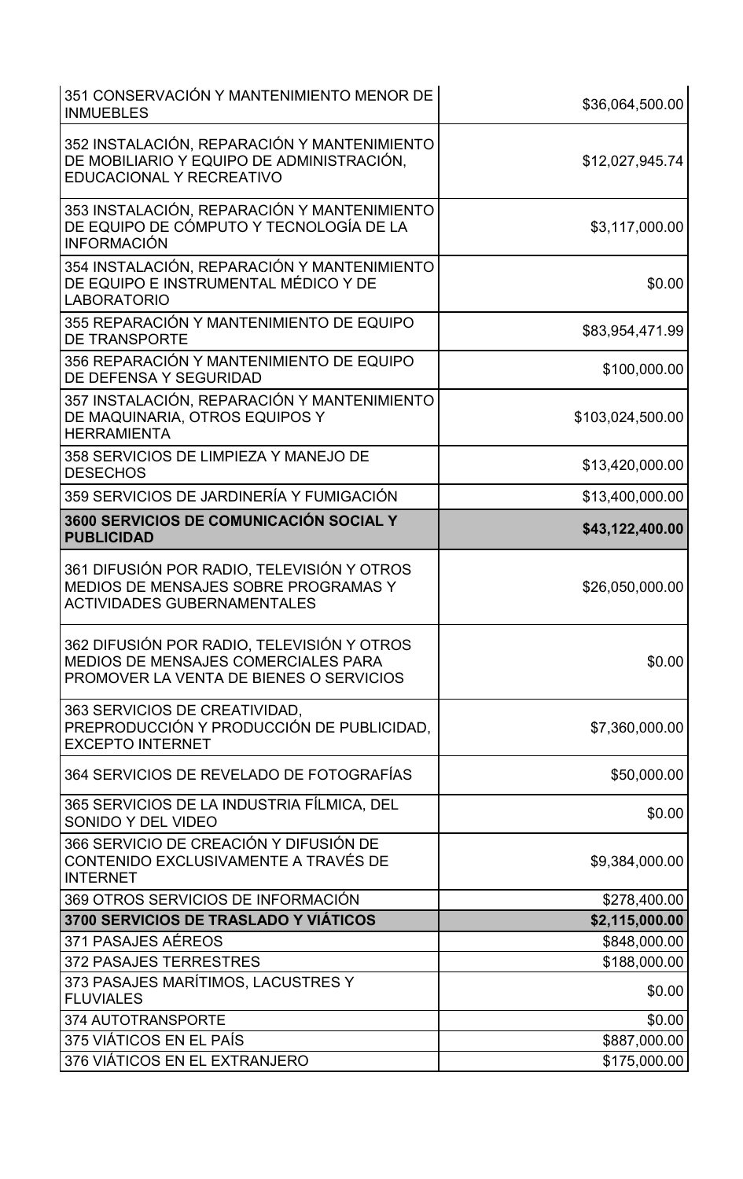| 351 CONSERVACIÓN Y MANTENIMIENTO MENOR DE<br><b>INMUEBLES</b>                                                                | \$36,064,500.00  |
|------------------------------------------------------------------------------------------------------------------------------|------------------|
| 352 INSTALACIÓN, REPARACIÓN Y MANTENIMIENTO<br>DE MOBILIARIO Y EQUIPO DE ADMINISTRACIÓN,<br>EDUCACIONAL Y RECREATIVO         | \$12,027,945.74  |
| 353 INSTALACIÓN, REPARACIÓN Y MANTENIMIENTO<br>DE EQUIPO DE CÓMPUTO Y TECNOLOGÍA DE LA<br><b>INFORMACIÓN</b>                 | \$3,117,000.00   |
| 354 INSTALACIÓN, REPARACIÓN Y MANTENIMIENTO<br>DE EQUIPO E INSTRUMENTAL MÉDICO Y DE<br><b>LABORATORIO</b>                    | \$0.00           |
| 355 REPARACIÓN Y MANTENIMIENTO DE EQUIPO<br><b>DE TRANSPORTE</b>                                                             | \$83,954,471.99  |
| 356 REPARACIÓN Y MANTENIMIENTO DE EQUIPO<br>DE DEFENSA Y SEGURIDAD                                                           | \$100,000.00     |
| 357 INSTALACIÓN, REPARACIÓN Y MANTENIMIENTO<br>DE MAQUINARIA, OTROS EQUIPOS Y<br><b>HERRAMIENTA</b>                          | \$103,024,500.00 |
| 358 SERVICIOS DE LIMPIEZA Y MANEJO DE<br><b>DESECHOS</b>                                                                     | \$13,420,000.00  |
| 359 SERVICIOS DE JARDINERÍA Y FUMIGACIÓN                                                                                     | \$13,400,000.00  |
| 3600 SERVICIOS DE COMUNICACIÓN SOCIAL Y<br><b>PUBLICIDAD</b>                                                                 | \$43,122,400.00  |
| 361 DIFUSIÓN POR RADIO, TELEVISIÓN Y OTROS<br>MEDIOS DE MENSAJES SOBRE PROGRAMAS Y<br><b>ACTIVIDADES GUBERNAMENTALES</b>     | \$26,050,000.00  |
| 362 DIFUSIÓN POR RADIO, TELEVISIÓN Y OTROS<br>MEDIOS DE MENSAJES COMERCIALES PARA<br>PROMOVER LA VENTA DE BIENES O SERVICIOS | \$0.00           |
| 363 SERVICIOS DE CREATIVIDAD,<br>PREPRODUCCIÓN Y PRODUCCIÓN DE PUBLICIDAD,<br><b>EXCEPTO INTERNET</b>                        | \$7,360,000.00   |
| 364 SERVICIOS DE REVELADO DE FOTOGRAFÍAS                                                                                     | \$50,000.00      |
| 365 SERVICIOS DE LA INDUSTRIA FÍLMICA, DEL<br>SONIDO Y DEL VIDEO                                                             | \$0.00           |
| 366 SERVICIO DE CREACIÓN Y DIFUSIÓN DE<br>CONTENIDO EXCLUSIVAMENTE A TRAVÉS DE<br><b>INTERNET</b>                            | \$9,384,000.00   |
| 369 OTROS SERVICIOS DE INFORMACIÓN                                                                                           | \$278,400.00     |
| <b>3700 SERVICIOS DE TRASLADO Y VIÁTICOS</b>                                                                                 | \$2,115,000.00   |
| 371 PASAJES AÉREOS                                                                                                           | \$848,000.00     |
| <b>372 PASAJES TERRESTRES</b>                                                                                                | \$188,000.00     |
| 373 PASAJES MARÍTIMOS, LACUSTRES Y<br><b>FLUVIALES</b>                                                                       | \$0.00           |
| 374 AUTOTRANSPORTE                                                                                                           | \$0.00           |
| 375 VIÁTICOS EN EL PAÍS                                                                                                      | \$887,000.00     |
| 376 VIÁTICOS EN EL EXTRANJERO                                                                                                | \$175,000.00     |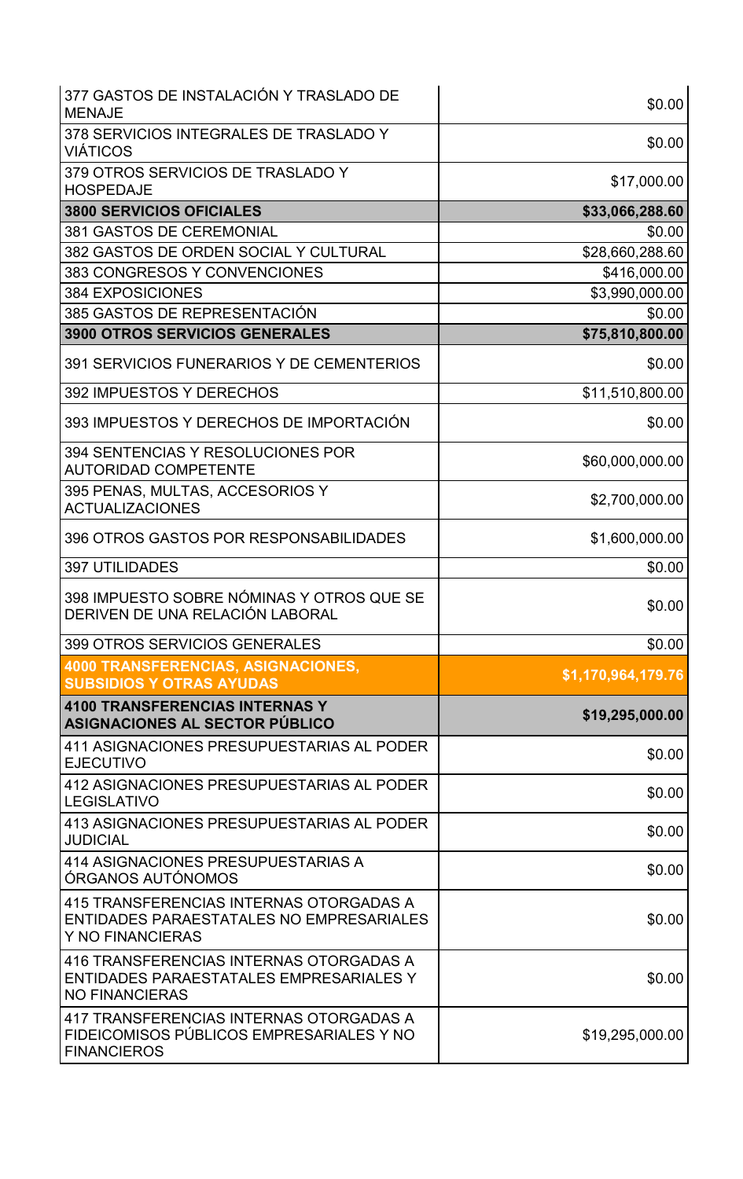| 377 GASTOS DE INSTALACIÓN Y TRASLADO DE<br><b>MENAJE</b>                                                    | \$0.00             |
|-------------------------------------------------------------------------------------------------------------|--------------------|
| 378 SERVICIOS INTEGRALES DE TRASLADO Y<br><b>VIÁTICOS</b>                                                   | \$0.00             |
| 379 OTROS SERVICIOS DE TRASLADO Y<br><b>HOSPEDAJE</b>                                                       | \$17,000.00        |
| <b>3800 SERVICIOS OFICIALES</b>                                                                             | \$33,066,288.60    |
| <b>381 GASTOS DE CEREMONIAL</b>                                                                             | \$0.00             |
| 382 GASTOS DE ORDEN SOCIAL Y CULTURAL                                                                       | \$28,660,288.60    |
| 383 CONGRESOS Y CONVENCIONES                                                                                | \$416,000.00       |
| <b>384 EXPOSICIONES</b>                                                                                     | \$3,990,000.00     |
| 385 GASTOS DE REPRESENTACIÓN                                                                                | \$0.00             |
| <b>3900 OTROS SERVICIOS GENERALES</b>                                                                       | \$75,810,800.00    |
| 391 SERVICIOS FUNERARIOS Y DE CEMENTERIOS                                                                   | \$0.00             |
| 392 IMPUESTOS Y DERECHOS                                                                                    | \$11,510,800.00    |
| 393 IMPUESTOS Y DERECHOS DE IMPORTACIÓN                                                                     | \$0.00             |
| 394 SENTENCIAS Y RESOLUCIONES POR<br><b>AUTORIDAD COMPETENTE</b>                                            | \$60,000,000.00    |
| 395 PENAS, MULTAS, ACCESORIOS Y<br><b>ACTUALIZACIONES</b>                                                   | \$2,700,000.00     |
| 396 OTROS GASTOS POR RESPONSABILIDADES                                                                      | \$1,600,000.00     |
| <b>397 UTILIDADES</b>                                                                                       | \$0.00             |
| 398 IMPUESTO SOBRE NÓMINAS Y OTROS QUE SE<br>DERIVEN DE UNA RELACIÓN LABORAL                                | \$0.00             |
| 399 OTROS SERVICIOS GENERALES                                                                               | \$0.00             |
| <b>4000 TRANSFERENCIAS, ASIGNACIONES,</b><br><b>SUBSIDIOS Y OTRAS AYUDAS</b>                                | \$1,170,964,179.76 |
| <b>4100 TRANSFERENCIAS INTERNAS Y</b><br><b>ASIGNACIONES AL SECTOR PÚBLICO</b>                              | \$19,295,000.00    |
| 411 ASIGNACIONES PRESUPUESTARIAS AL PODER<br><b>EJECUTIVO</b>                                               | \$0.00             |
| 412 ASIGNACIONES PRESUPUESTARIAS AL PODER<br><b>LEGISLATIVO</b>                                             | \$0.00             |
| 413 ASIGNACIONES PRESUPUESTARIAS AL PODER<br><b>JUDICIAL</b>                                                | \$0.00             |
| 414 ASIGNACIONES PRESUPUESTARIAS A<br>ÓRGANOS AUTÓNOMOS                                                     | \$0.00             |
| 415 TRANSFERENCIAS INTERNAS OTORGADAS A<br>ENTIDADES PARAESTATALES NO EMPRESARIALES<br>Y NO FINANCIERAS     | \$0.00             |
| 416 TRANSFERENCIAS INTERNAS OTORGADAS A<br>ENTIDADES PARAESTATALES EMPRESARIALES Y<br><b>NO FINANCIERAS</b> | \$0.00             |
| 417 TRANSFERENCIAS INTERNAS OTORGADAS A<br>FIDEICOMISOS PÚBLICOS EMPRESARIALES Y NO<br><b>FINANCIEROS</b>   | \$19,295,000.00    |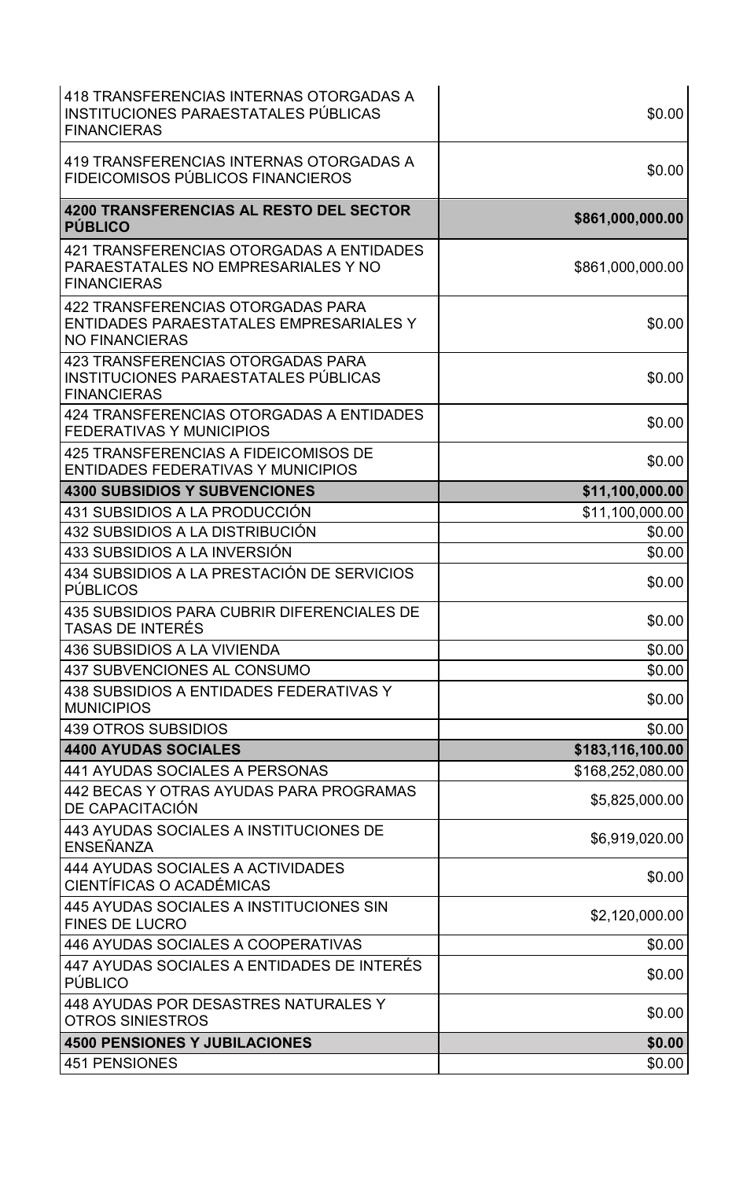| 418 TRANSFERENCIAS INTERNAS OTORGADAS A<br>INSTITUCIONES PARAESTATALES PÚBLICAS<br><b>FINANCIERAS</b> | \$0.00           |
|-------------------------------------------------------------------------------------------------------|------------------|
| 419 TRANSFERENCIAS INTERNAS OTORGADAS A<br>FIDEICOMISOS PÚBLICOS FINANCIEROS                          | \$0.00           |
| <b>4200 TRANSFERENCIAS AL RESTO DEL SECTOR</b><br><b>PÚBLICO</b>                                      | \$861,000,000.00 |
| 421 TRANSFERENCIAS OTORGADAS A ENTIDADES<br>PARAESTATALES NO EMPRESARIALES Y NO<br><b>FINANCIERAS</b> | \$861,000,000.00 |
| 422 TRANSFERENCIAS OTORGADAS PARA<br>ENTIDADES PARAESTATALES EMPRESARIALES Y<br><b>NO FINANCIERAS</b> | \$0.00           |
| 423 TRANSFERENCIAS OTORGADAS PARA<br>INSTITUCIONES PARAESTATALES PÚBLICAS<br><b>FINANCIERAS</b>       | \$0.00           |
| 424 TRANSFERENCIAS OTORGADAS A ENTIDADES<br><b>FEDERATIVAS Y MUNICIPIOS</b>                           | \$0.00           |
| 425 TRANSFERENCIAS A FIDEICOMISOS DE<br><b>ENTIDADES FEDERATIVAS Y MUNICIPIOS</b>                     | \$0.00           |
| <b>4300 SUBSIDIOS Y SUBVENCIONES</b>                                                                  | \$11,100,000.00  |
| 431 SUBSIDIOS A LA PRODUCCIÓN                                                                         | \$11,100,000.00  |
| 432 SUBSIDIOS A LA DISTRIBUCIÓN                                                                       | \$0.00           |
| 433 SUBSIDIOS A LA INVERSIÓN                                                                          | \$0.00           |
| 434 SUBSIDIOS A LA PRESTACIÓN DE SERVICIOS<br><b>PÚBLICOS</b>                                         | \$0.00           |
| <b>435 SUBSIDIOS PARA CUBRIR DIFERENCIALES DE</b><br>TASAS DE INTERÉS                                 | \$0.00           |
| 436 SUBSIDIOS A LA VIVIENDA                                                                           | \$0.00           |
| 437 SUBVENCIONES AL CONSUMO                                                                           | \$0.00           |
| 438 SUBSIDIOS A ENTIDADES FEDERATIVAS Y<br><b>MUNICIPIOS</b>                                          | \$0.00           |
| <b>439 OTROS SUBSIDIOS</b>                                                                            | \$0.00           |
| <b>4400 AYUDAS SOCIALES</b>                                                                           | \$183,116,100.00 |
| <b>441 AYUDAS SOCIALES A PERSONAS</b>                                                                 | \$168,252,080.00 |
| 442 BECAS Y OTRAS AYUDAS PARA PROGRAMAS<br>DE CAPACITACIÓN                                            | \$5,825,000.00   |
| 443 AYUDAS SOCIALES A INSTITUCIONES DE<br>ENSEÑANZA                                                   | \$6,919,020.00   |
| <b>444 AYUDAS SOCIALES A ACTIVIDADES</b><br>CIENTÍFICAS O ACADÉMICAS                                  | \$0.00           |
| 445 AYUDAS SOCIALES A INSTITUCIONES SIN<br><b>FINES DE LUCRO</b>                                      | \$2,120,000.00   |
| 446 AYUDAS SOCIALES A COOPERATIVAS                                                                    | \$0.00           |
| 447 AYUDAS SOCIALES A ENTIDADES DE INTERÉS<br><b>PÚBLICO</b>                                          | \$0.00           |
| 448 AYUDAS POR DESASTRES NATURALES Y<br><b>OTROS SINIESTROS</b>                                       | \$0.00           |
| <b>4500 PENSIONES Y JUBILACIONES</b>                                                                  | \$0.00           |
| <b>451 PENSIONES</b>                                                                                  | \$0.00           |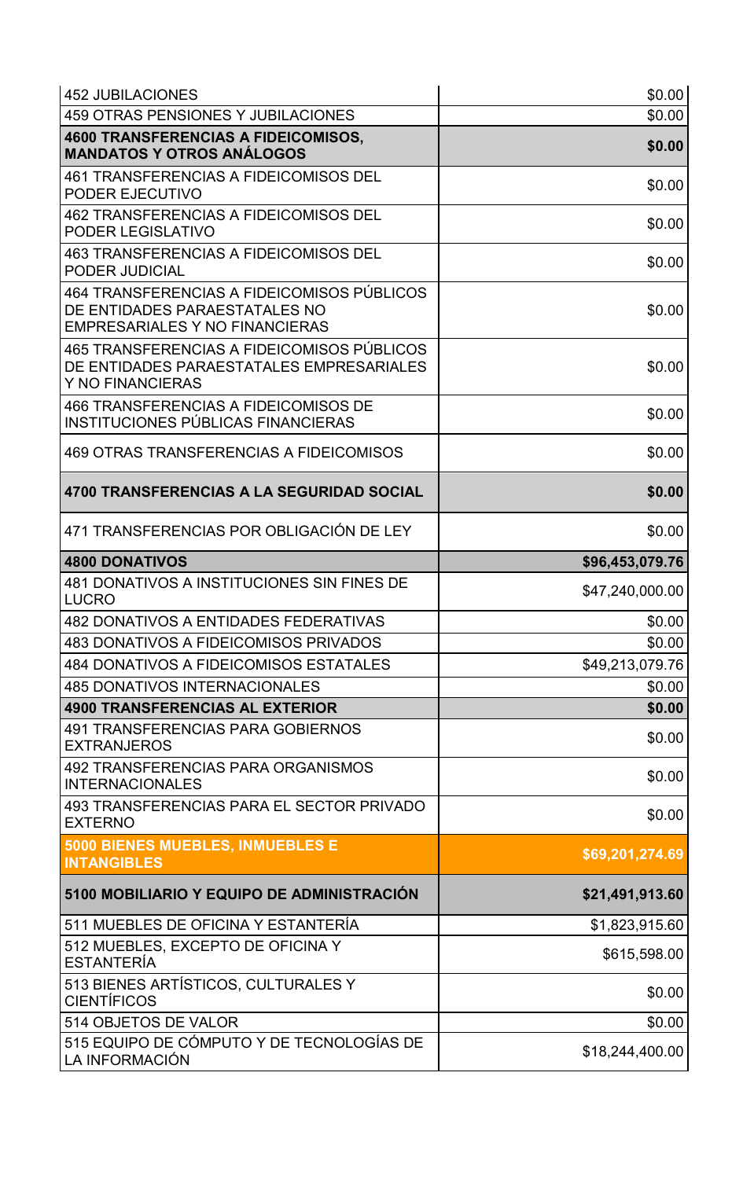| <b>452 JUBILACIONES</b>                                                                                              | \$0.00          |
|----------------------------------------------------------------------------------------------------------------------|-----------------|
| 459 OTRAS PENSIONES Y JUBILACIONES                                                                                   | \$0.00          |
| <b>4600 TRANSFERENCIAS A FIDEICOMISOS,</b><br><b>MANDATOS Y OTROS ANÁLOGOS</b>                                       | \$0.00          |
| <b>461 TRANSFERENCIAS A FIDEICOMISOS DEL</b><br>PODER EJECUTIVO                                                      | \$0.00          |
| <b>462 TRANSFERENCIAS A FIDEICOMISOS DEL</b><br>PODER LEGISLATIVO                                                    | \$0.00          |
| <b>463 TRANSFERENCIAS A FIDEICOMISOS DEL</b><br>PODER JUDICIAL                                                       | \$0.00          |
| 464 TRANSFERENCIAS A FIDEICOMISOS PÚBLICOS<br>DE ENTIDADES PARAESTATALES NO<br><b>EMPRESARIALES Y NO FINANCIERAS</b> | \$0.00          |
| 465 TRANSFERENCIAS A FIDEICOMISOS PÚBLICOS<br>DE ENTIDADES PARAESTATALES EMPRESARIALES<br>Y NO FINANCIERAS           | \$0.00          |
| 466 TRANSFERENCIAS A FIDEICOMISOS DE<br>INSTITUCIONES PÚBLICAS FINANCIERAS                                           | \$0.00          |
| 469 OTRAS TRANSFERENCIAS A FIDEICOMISOS                                                                              | \$0.00          |
| 4700 TRANSFERENCIAS A LA SEGURIDAD SOCIAL                                                                            | \$0.00          |
| 471 TRANSFERENCIAS POR OBLIGACIÓN DE LEY                                                                             | \$0.00          |
| <b>4800 DONATIVOS</b>                                                                                                | \$96,453,079.76 |
| 481 DONATIVOS A INSTITUCIONES SIN FINES DE<br><b>LUCRO</b>                                                           | \$47,240,000.00 |
| 482 DONATIVOS A ENTIDADES FEDERATIVAS                                                                                | \$0.00          |
| <b>483 DONATIVOS A FIDEICOMISOS PRIVADOS</b>                                                                         | \$0.00          |
| <b>484 DONATIVOS A FIDEICOMISOS ESTATALES</b>                                                                        | \$49,213,079.76 |
| <b>485 DONATIVOS INTERNACIONALES</b>                                                                                 | \$0.00          |
| <b>4900 TRANSFERENCIAS AL EXTERIOR</b>                                                                               | \$0.00          |
| <b>491 TRANSFERENCIAS PARA GOBIERNOS</b><br><b>EXTRANJEROS</b>                                                       | \$0.00          |
| 492 TRANSFERENCIAS PARA ORGANISMOS<br><b>INTERNACIONALES</b>                                                         | \$0.00          |
| 493 TRANSFERENCIAS PARA EL SECTOR PRIVADO<br><b>EXTERNO</b>                                                          | \$0.00          |
| 5000 BIENES MUEBLES, INMUEBLES E<br><b>INTANGIBLES</b>                                                               | \$69,201,274.69 |
| 5100 MOBILIARIO Y EQUIPO DE ADMINISTRACIÓN                                                                           | \$21,491,913.60 |
| 511 MUEBLES DE OFICINA Y ESTANTERÍA                                                                                  | \$1,823,915.60  |
| 512 MUEBLES, EXCEPTO DE OFICINA Y<br><b>ESTANTERÍA</b>                                                               | \$615,598.00    |
| 513 BIENES ARTÍSTICOS, CULTURALES Y<br><b>CIENTÍFICOS</b>                                                            | \$0.00          |
| 514 OBJETOS DE VALOR                                                                                                 | \$0.00          |
| 515 EQUIPO DE CÓMPUTO Y DE TECNOLOGÍAS DE<br>LA INFORMACIÓN                                                          | \$18,244,400.00 |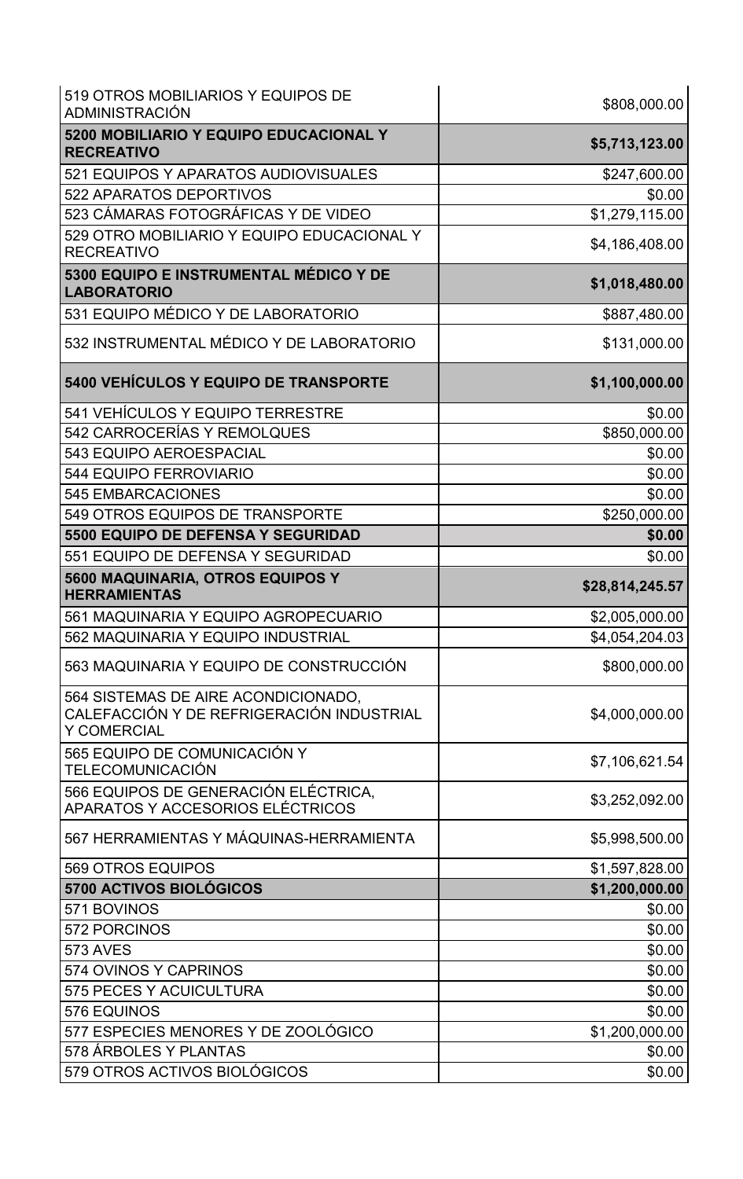| 519 OTROS MOBILIARIOS Y EQUIPOS DE<br>ADMINISTRACIÓN                                                   | \$808,000.00    |
|--------------------------------------------------------------------------------------------------------|-----------------|
| 5200 MOBILIARIO Y EQUIPO EDUCACIONAL Y<br><b>RECREATIVO</b>                                            | \$5,713,123.00  |
| 521 EQUIPOS Y APARATOS AUDIOVISUALES                                                                   | \$247,600.00    |
| 522 APARATOS DEPORTIVOS                                                                                | \$0.00          |
| 523 CÁMARAS FOTOGRÁFICAS Y DE VIDEO                                                                    | \$1,279,115.00  |
| 529 OTRO MOBILIARIO Y EQUIPO EDUCACIONAL Y<br><b>RECREATIVO</b>                                        | \$4,186,408.00  |
| 5300 EQUIPO E INSTRUMENTAL MÉDICO Y DE<br><b>LABORATORIO</b>                                           | \$1,018,480.00  |
| 531 EQUIPO MÉDICO Y DE LABORATORIO                                                                     | \$887,480.00    |
| 532 INSTRUMENTAL MÉDICO Y DE LABORATORIO                                                               | \$131,000.00    |
| 5400 VEHÍCULOS Y EQUIPO DE TRANSPORTE                                                                  | \$1,100,000.00  |
| 541 VEHÍCULOS Y EQUIPO TERRESTRE                                                                       | \$0.00          |
| 542 CARROCERÍAS Y REMOLQUES                                                                            | \$850,000.00    |
| 543 EQUIPO AEROESPACIAL                                                                                | \$0.00          |
| <b>544 EQUIPO FERROVIARIO</b>                                                                          | \$0.00          |
| <b>545 EMBARCACIONES</b>                                                                               | \$0.00          |
| 549 OTROS EQUIPOS DE TRANSPORTE                                                                        | \$250,000.00    |
| 5500 EQUIPO DE DEFENSA Y SEGURIDAD                                                                     | \$0.00          |
| 551 EQUIPO DE DEFENSA Y SEGURIDAD                                                                      | \$0.00          |
| 5600 MAQUINARIA, OTROS EQUIPOS Y<br><b>HERRAMIENTAS</b>                                                | \$28,814,245.57 |
| 561 MAQUINARIA Y EQUIPO AGROPECUARIO                                                                   | \$2,005,000.00  |
| 562 MAQUINARIA Y EQUIPO INDUSTRIAL                                                                     | \$4,054,204.03  |
| 563 MAQUINARIA Y EQUIPO DE CONSTRUCCIÓN                                                                | \$800,000.00    |
| 564 SISTEMAS DE AIRE ACONDICIONADO,<br>CALEFACCIÓN Y DE REFRIGERACIÓN INDUSTRIAL<br><b>Y COMERCIAL</b> | \$4,000,000.00  |
| 565 EQUIPO DE COMUNICACIÓN Y<br>TELECOMUNICACIÓN                                                       | \$7,106,621.54  |
| 566 EQUIPOS DE GENERACIÓN ELÉCTRICA,<br>APARATOS Y ACCESORIOS ELÉCTRICOS                               | \$3,252,092.00  |
| 567 HERRAMIENTAS Y MÁQUINAS-HERRAMIENTA                                                                | \$5,998,500.00  |
| 569 OTROS EQUIPOS                                                                                      | \$1,597,828.00  |
| 5700 ACTIVOS BIOLÓGICOS                                                                                | \$1,200,000.00  |
| 571 BOVINOS                                                                                            | \$0.00          |
| 572 PORCINOS                                                                                           | \$0.00          |
| <b>573 AVES</b>                                                                                        | \$0.00          |
| 574 OVINOS Y CAPRINOS                                                                                  | \$0.00          |
| 575 PECES Y ACUICULTURA                                                                                | \$0.00          |
| 576 EQUINOS                                                                                            | \$0.00          |
| 577 ESPECIES MENORES Y DE ZOOLÓGICO                                                                    | \$1,200,000.00  |
| 578 ÁRBOLES Y PLANTAS                                                                                  | \$0.00          |
| 579 OTROS ACTIVOS BIOLÓGICOS                                                                           | \$0.00          |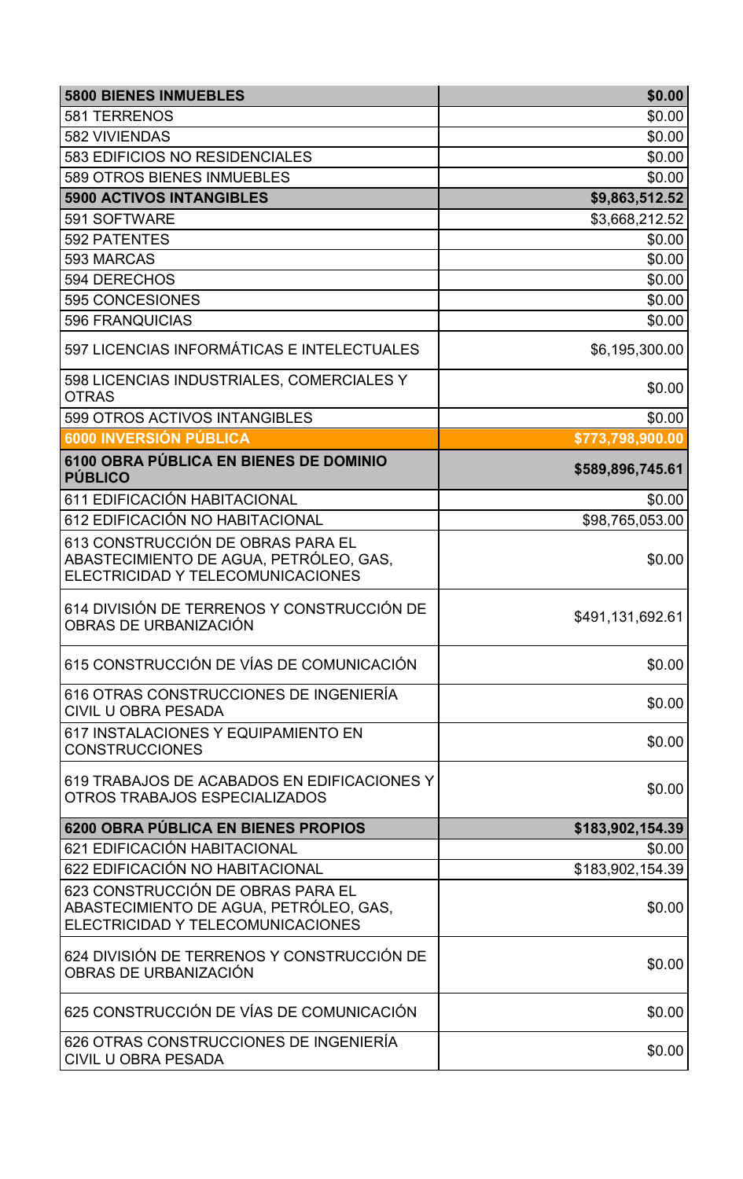| <b>5800 BIENES INMUEBLES</b>                                                                                     | \$0.00           |
|------------------------------------------------------------------------------------------------------------------|------------------|
| 581 TERRENOS                                                                                                     | \$0.00           |
| 582 VIVIENDAS                                                                                                    | \$0.00           |
| 583 EDIFICIOS NO RESIDENCIALES                                                                                   | \$0.00           |
| <b>589 OTROS BIENES INMUEBLES</b>                                                                                | \$0.00           |
| <b>5900 ACTIVOS INTANGIBLES</b>                                                                                  | \$9,863,512.52   |
| 591 SOFTWARE                                                                                                     | \$3,668,212.52   |
| <b>592 PATENTES</b>                                                                                              | \$0.00           |
| 593 MARCAS                                                                                                       | \$0.00           |
| 594 DERECHOS                                                                                                     | \$0.00           |
| 595 CONCESIONES                                                                                                  | \$0.00           |
| <b>596 FRANQUICIAS</b>                                                                                           | \$0.00           |
| 597 LICENCIAS INFORMÁTICAS E INTELECTUALES                                                                       | \$6,195,300.00   |
| 598 LICENCIAS INDUSTRIALES, COMERCIALES Y<br><b>OTRAS</b>                                                        | \$0.00           |
| 599 OTROS ACTIVOS INTANGIBLES                                                                                    | \$0.00           |
| 6000 INVERSIÓN PÚBLICA                                                                                           | \$773,798,900.00 |
| 6100 OBRA PÚBLICA EN BIENES DE DOMINIO<br><b>PÚBLICO</b>                                                         | \$589,896,745.61 |
| 611 EDIFICACIÓN HABITACIONAL                                                                                     | \$0.00           |
| 612 EDIFICACIÓN NO HABITACIONAL                                                                                  | \$98,765,053.00  |
| 613 CONSTRUCCIÓN DE OBRAS PARA EL<br>ABASTECIMIENTO DE AGUA, PETRÓLEO, GAS,<br>ELECTRICIDAD Y TELECOMUNICACIONES | \$0.00           |
| 614 DIVISIÓN DE TERRENOS Y CONSTRUCCIÓN DE<br>OBRAS DE URBANIZACIÓN                                              | \$491,131,692.61 |
| 615 CONSTRUCCIÓN DE VÍAS DE COMUNICACIÓN                                                                         | \$0.00           |
| 616 OTRAS CONSTRUCCIONES DE INGENIERÍA<br><b>CIVIL U OBRA PESADA</b>                                             | \$0.00           |
| 617 INSTALACIONES Y EQUIPAMIENTO EN<br><b>CONSTRUCCIONES</b>                                                     | \$0.00           |
| 619 TRABAJOS DE ACABADOS EN EDIFICACIONES Y<br>OTROS TRABAJOS ESPECIALIZADOS                                     | \$0.00           |
| 6200 OBRA PÚBLICA EN BIENES PROPIOS                                                                              | \$183,902,154.39 |
| 621 EDIFICACIÓN HABITACIONAL                                                                                     | \$0.00           |
| 622 EDIFICACIÓN NO HABITACIONAL                                                                                  | \$183,902,154.39 |
| 623 CONSTRUCCIÓN DE OBRAS PARA EL<br>ABASTECIMIENTO DE AGUA, PETRÓLEO, GAS,<br>ELECTRICIDAD Y TELECOMUNICACIONES | \$0.00           |
| 624 DIVISIÓN DE TERRENOS Y CONSTRUCCIÓN DE<br>OBRAS DE URBANIZACIÓN                                              | \$0.00           |
| 625 CONSTRUCCIÓN DE VÍAS DE COMUNICACIÓN                                                                         | \$0.00           |
| 626 OTRAS CONSTRUCCIONES DE INGENIERÍA<br><b>CIVIL U OBRA PESADA</b>                                             | \$0.00           |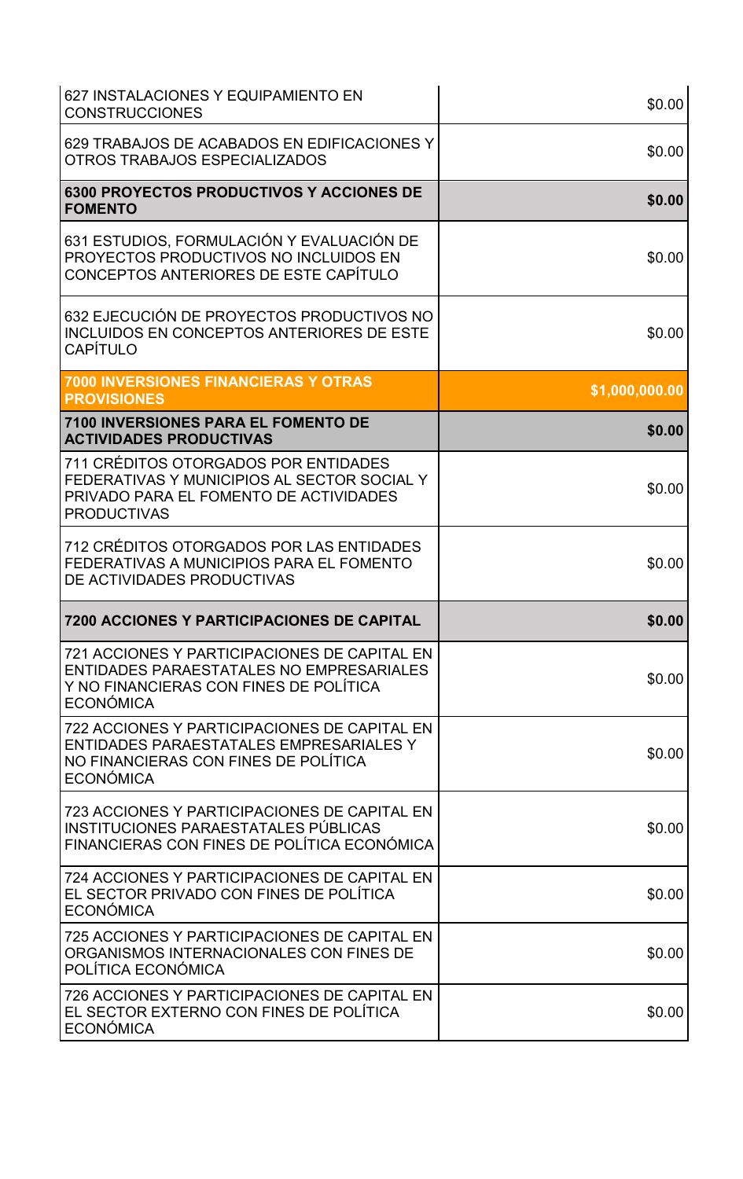| 627 INSTALACIONES Y EQUIPAMIENTO EN<br><b>CONSTRUCCIONES</b>                                                                                        | \$0.00         |
|-----------------------------------------------------------------------------------------------------------------------------------------------------|----------------|
| 629 TRABAJOS DE ACABADOS EN EDIFICACIONES Y<br>OTROS TRABAJOS ESPECIALIZADOS                                                                        | \$0.00         |
| <b>6300 PROYECTOS PRODUCTIVOS Y ACCIONES DE</b><br><b>FOMENTO</b>                                                                                   | \$0.00         |
| 631 ESTUDIOS, FORMULACIÓN Y EVALUACIÓN DE<br>PROYECTOS PRODUCTIVOS NO INCLUIDOS EN<br>CONCEPTOS ANTERIORES DE ESTE CAPÍTULO                         | \$0.00         |
| 632 EJECUCIÓN DE PROYECTOS PRODUCTIVOS NO<br><b>INCLUIDOS EN CONCEPTOS ANTERIORES DE ESTE</b><br>CAPÍTULO                                           | \$0.00         |
| <b>7000 INVERSIONES FINANCIERAS Y OTRAS</b><br><b>PROVISIONES</b>                                                                                   | \$1,000,000.00 |
| <b>7100 INVERSIONES PARA EL FOMENTO DE</b><br><b>ACTIVIDADES PRODUCTIVAS</b>                                                                        | \$0.00         |
| 711 CRÉDITOS OTORGADOS POR ENTIDADES<br>FEDERATIVAS Y MUNICIPIOS AL SECTOR SOCIAL Y<br>PRIVADO PARA EL FOMENTO DE ACTIVIDADES<br><b>PRODUCTIVAS</b> | \$0.00         |
| 712 CRÉDITOS OTORGADOS POR LAS ENTIDADES<br>FEDERATIVAS A MUNICIPIOS PARA EL FOMENTO<br>DE ACTIVIDADES PRODUCTIVAS                                  | \$0.00         |
| <b>7200 ACCIONES Y PARTICIPACIONES DE CAPITAL</b>                                                                                                   | \$0.00         |
| 721 ACCIONES Y PARTICIPACIONES DE CAPITAL EN<br>ENTIDADES PARAESTATALES NO EMPRESARIALES<br>Y NO FINANCIERAS CON FINES DE POLÍTICA<br>ECONÓMICA     | \$0.00         |
| 722 ACCIONES Y PARTICIPACIONES DE CAPITAL EN<br>ENTIDADES PARAESTATALES EMPRESARIALES Y<br>NO FINANCIERAS CON FINES DE POLÍTICA<br>ECONÓMICA        | \$0.00         |
| 723 ACCIONES Y PARTICIPACIONES DE CAPITAL EN<br>INSTITUCIONES PARAESTATALES PÚBLICAS<br>FINANCIERAS CON FINES DE POLÍTICA ECONÓMICA                 | \$0.00         |
| 724 ACCIONES Y PARTICIPACIONES DE CAPITAL EN<br>EL SECTOR PRIVADO CON FINES DE POLÍTICA<br><b>ECONÓMICA</b>                                         | \$0.00         |
| 725 ACCIONES Y PARTICIPACIONES DE CAPITAL EN<br>ORGANISMOS INTERNACIONALES CON FINES DE<br>POLÍTICA ECONÓMICA                                       | \$0.00         |
| 726 ACCIONES Y PARTICIPACIONES DE CAPITAL EN<br>EL SECTOR EXTERNO CON FINES DE POLÍTICA<br><b>ECONÓMICA</b>                                         | \$0.00         |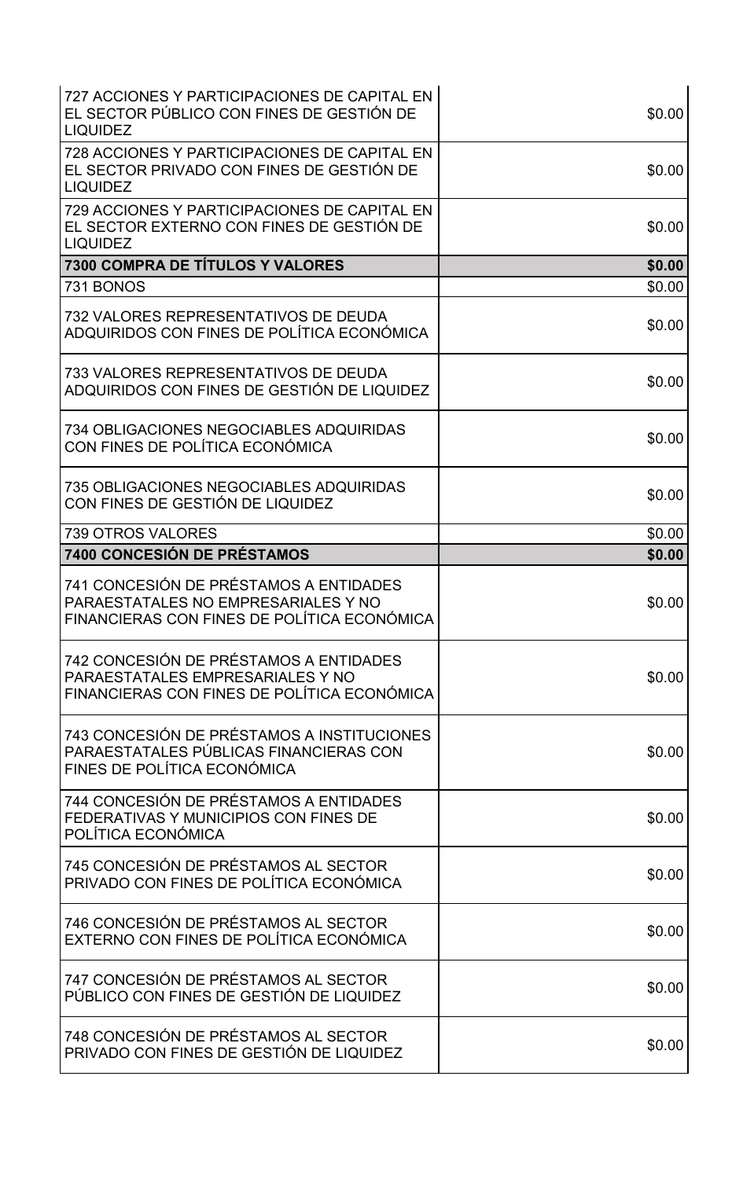| 727 ACCIONES Y PARTICIPACIONES DE CAPITAL EN<br>EL SECTOR PÚBLICO CON FINES DE GESTIÓN DE<br><b>LIQUIDEZ</b>                 | \$0.00 |
|------------------------------------------------------------------------------------------------------------------------------|--------|
| 728 ACCIONES Y PARTICIPACIONES DE CAPITAL EN<br>EL SECTOR PRIVADO CON FINES DE GESTIÓN DE<br><b>LIQUIDEZ</b>                 | \$0.00 |
| 729 ACCIONES Y PARTICIPACIONES DE CAPITAL EN<br>EL SECTOR EXTERNO CON FINES DE GESTIÓN DE<br><b>LIQUIDEZ</b>                 | \$0.00 |
| <b>7300 COMPRA DE TÍTULOS Y VALORES</b>                                                                                      | \$0.00 |
| 731 BONOS                                                                                                                    | \$0.00 |
| 732 VALORES REPRESENTATIVOS DE DEUDA<br>ADQUIRIDOS CON FINES DE POLÍTICA ECONÓMICA                                           | \$0.00 |
| 733 VALORES REPRESENTATIVOS DE DEUDA<br>ADQUIRIDOS CON FINES DE GESTIÓN DE LIQUIDEZ                                          | \$0.00 |
| <b>734 OBLIGACIONES NEGOCIABLES ADQUIRIDAS</b><br>CON FINES DE POLÍTICA ECONÓMICA                                            | \$0.00 |
| 735 OBLIGACIONES NEGOCIABLES ADQUIRIDAS<br>CON FINES DE GESTIÓN DE LIQUIDEZ                                                  | \$0.00 |
| 739 OTROS VALORES                                                                                                            | \$0.00 |
| 7400 CONCESIÓN DE PRÉSTAMOS                                                                                                  | \$0.00 |
|                                                                                                                              |        |
| 741 CONCESIÓN DE PRÉSTAMOS A ENTIDADES<br>PARAESTATALES NO EMPRESARIALES Y NO<br>FINANCIERAS CON FINES DE POLÍTICA ECONÓMICA | \$0.00 |
| 742 CONCESIÓN DE PRÉSTAMOS A ENTIDADES<br>PARAESTATALES EMPRESARIALES Y NO<br>FINANCIERAS CON FINES DE POLÍTICA ECONÓMICA    | \$0.00 |
| 743 CONCESIÓN DE PRÉSTAMOS A INSTITUCIONES<br>PARAESTATALES PÚBLICAS FINANCIERAS CON<br>FINES DE POLÍTICA ECONÓMICA          | \$0.00 |
| 744 CONCESIÓN DE PRÉSTAMOS A ENTIDADES<br>FEDERATIVAS Y MUNICIPIOS CON FINES DE<br>POLÍTICA ECONÓMICA                        | \$0.00 |
| 745 CONCESIÓN DE PRÉSTAMOS AL SECTOR<br>PRIVADO CON FINES DE POLÍTICA ECONÓMICA                                              | \$0.00 |
| 746 CONCESIÓN DE PRÉSTAMOS AL SECTOR<br>EXTERNO CON FINES DE POLÍTICA ECONÓMICA                                              | \$0.00 |
| 747 CONCESIÓN DE PRÉSTAMOS AL SECTOR<br>PÚBLICO CON FINES DE GESTIÓN DE LIQUIDEZ                                             | \$0.00 |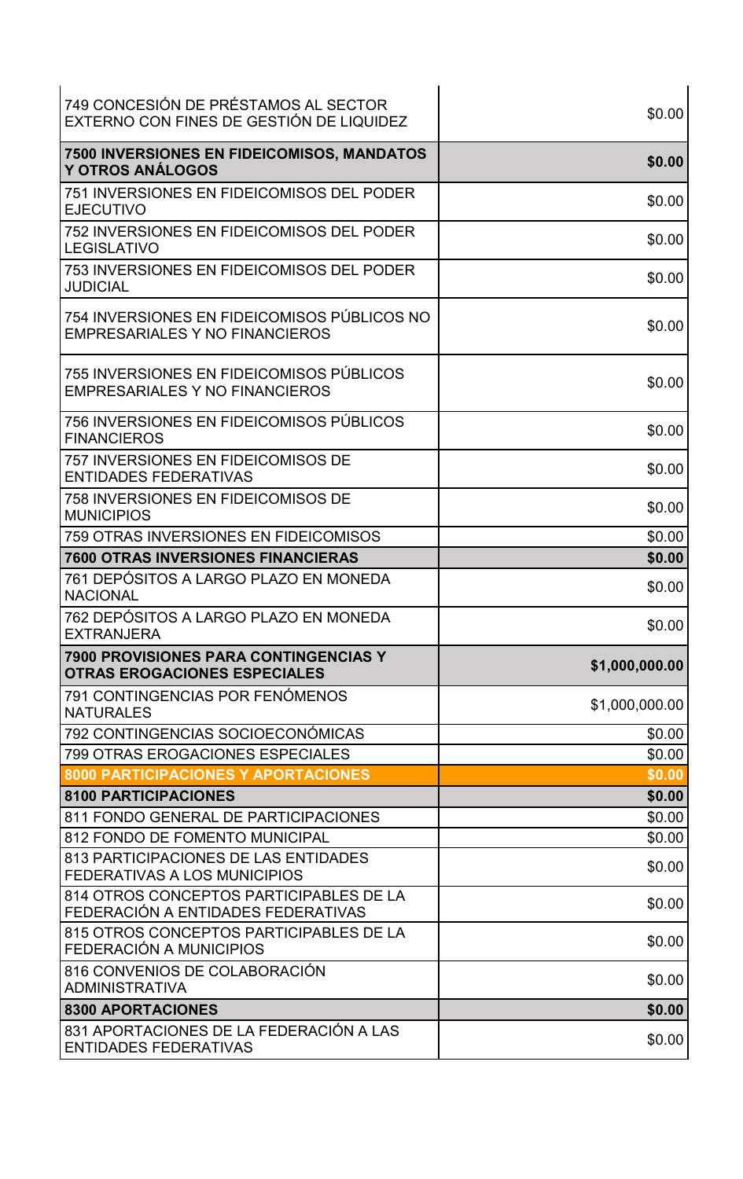| 749 CONCESIÓN DE PRÉSTAMOS AL SECTOR<br>EXTERNO CON FINES DE GESTIÓN DE LIQUIDEZ     | \$0.00         |
|--------------------------------------------------------------------------------------|----------------|
| <b>7500 INVERSIONES EN FIDEICOMISOS, MANDATOS</b><br>Y OTROS ANÁLOGOS                | \$0.00         |
| 751 INVERSIONES EN FIDEICOMISOS DEL PODER<br><b>EJECUTIVO</b>                        | \$0.00         |
| 752 INVERSIONES EN FIDEICOMISOS DEL PODER<br><b>LEGISLATIVO</b>                      | \$0.00         |
| 753 INVERSIONES EN FIDEICOMISOS DEL PODER<br><b>JUDICIAL</b>                         | \$0.00         |
| 754 INVERSIONES EN FIDEICOMISOS PÚBLICOS NO<br><b>EMPRESARIALES Y NO FINANCIEROS</b> | \$0.00         |
| 755 INVERSIONES EN FIDEICOMISOS PÚBLICOS<br><b>EMPRESARIALES Y NO FINANCIEROS</b>    | \$0.00         |
| 756 INVERSIONES EN FIDEICOMISOS PÚBLICOS<br><b>FINANCIEROS</b>                       | \$0.00         |
| <b>757 INVERSIONES EN FIDEICOMISOS DE</b><br><b>ENTIDADES FEDERATIVAS</b>            | \$0.00         |
| 758 INVERSIONES EN FIDEICOMISOS DE<br><b>MUNICIPIOS</b>                              | \$0.00         |
| 759 OTRAS INVERSIONES EN FIDEICOMISOS                                                | \$0.00         |
| <b>7600 OTRAS INVERSIONES FINANCIERAS</b>                                            | \$0.00         |
| 761 DEPOSITOS A LARGO PLAZO EN MONEDA<br><b>NACIONAL</b>                             | \$0.00         |
| 762 DEPÓSITOS A LARGO PLAZO EN MONEDA<br><b>EXTRANJERA</b>                           | \$0.00         |
| <b>7900 PROVISIONES PARA CONTINGENCIAS Y</b><br><b>OTRAS EROGACIONES ESPECIALES</b>  | \$1,000,000.00 |
| 791 CONTINGENCIAS POR FENÓMENOS<br><b>NATURALES</b>                                  | \$1,000,000.00 |
| 792 CONTINGENCIAS SOCIOECONÓMICAS                                                    | \$0.00         |
| 799 OTRAS EROGACIONES ESPECIALES                                                     | \$0.00         |
| <b>8000 PARTICIPACIONES Y APORTACIONES</b>                                           | \$0.00         |
| <b>8100 PARTICIPACIONES</b>                                                          | \$0.00         |
| 811 FONDO GENERAL DE PARTICIPACIONES                                                 | \$0.00         |
| 812 FONDO DE FOMENTO MUNICIPAL<br>813 PARTICIPACIONES DE LAS ENTIDADES               | \$0.00         |
| <b>FEDERATIVAS A LOS MUNICIPIOS</b>                                                  | \$0.00         |
| 814 OTROS CONCEPTOS PARTICIPABLES DE LA<br>FEDERACIÓN A ENTIDADES FEDERATIVAS        | \$0.00         |
| 815 OTROS CONCEPTOS PARTICIPABLES DE LA<br>FEDERACIÓN A MUNICIPIOS                   | \$0.00         |
| 816 CONVENIOS DE COLABORACIÓN<br><b>ADMINISTRATIVA</b>                               | \$0.00         |
| 8300 APORTACIONES                                                                    | \$0.00         |
| 831 APORTACIONES DE LA FEDERACIÓN A LAS<br><b>ENTIDADES FEDERATIVAS</b>              | \$0.00         |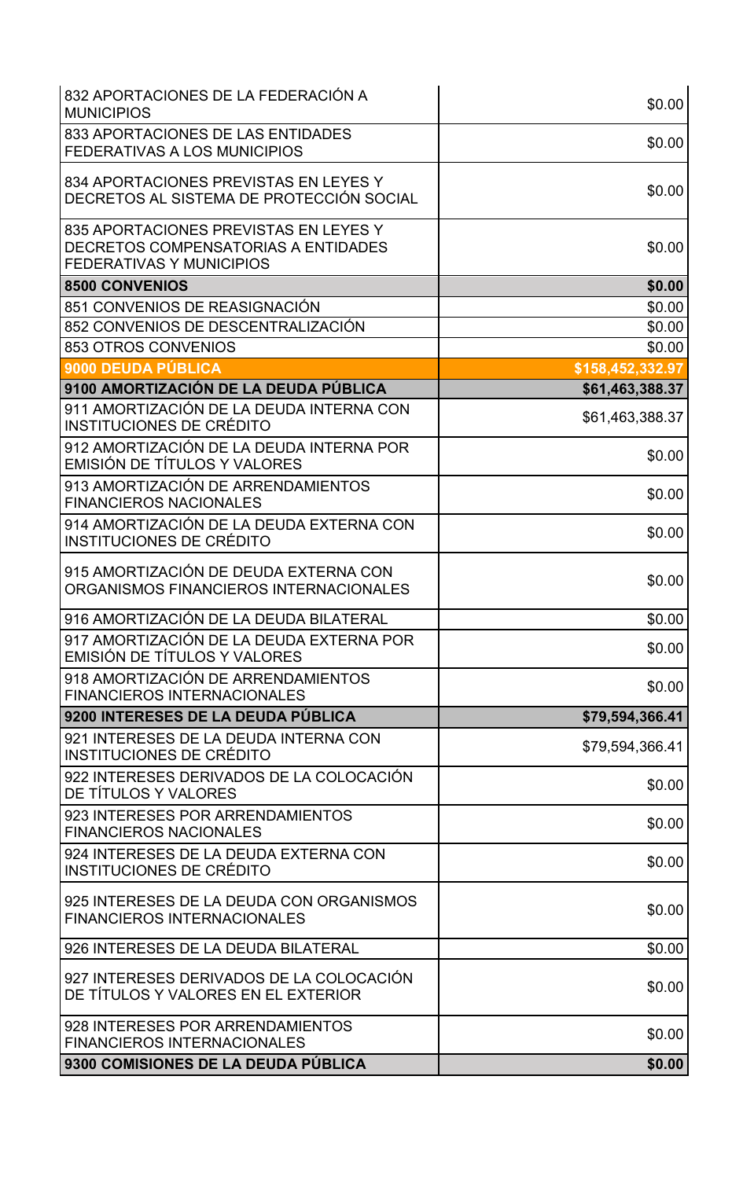| 832 APORTACIONES DE LA FEDERACIÓN A<br><b>MUNICIPIOS</b>                                                        | \$0.00           |
|-----------------------------------------------------------------------------------------------------------------|------------------|
| 833 APORTACIONES DE LAS ENTIDADES<br><b>FEDERATIVAS A LOS MUNICIPIOS</b>                                        | \$0.00           |
| 834 APORTACIONES PREVISTAS EN LEYES Y<br>DECRETOS AL SISTEMA DE PROTECCIÓN SOCIAL                               | \$0.00           |
| 835 APORTACIONES PREVISTAS EN LEYES Y<br>DECRETOS COMPENSATORIAS A ENTIDADES<br><b>FEDERATIVAS Y MUNICIPIOS</b> | \$0.00           |
| <b>8500 CONVENIOS</b>                                                                                           | \$0.00           |
| 851 CONVENIOS DE REASIGNACIÓN                                                                                   | \$0.00           |
| 852 CONVENIOS DE DESCENTRALIZACIÓN                                                                              | \$0.00           |
| 853 OTROS CONVENIOS                                                                                             | \$0.00           |
| 9000 DEUDA PÚBLICA                                                                                              | \$158,452,332.97 |
| 9100 AMORTIZACIÓN DE LA DEUDA PÚBLICA                                                                           | \$61,463,388.37  |
| 911 AMORTIZACIÓN DE LA DEUDA INTERNA CON<br>INSTITUCIONES DE CRÉDITO                                            | \$61,463,388.37  |
| 912 AMORTIZACIÓN DE LA DEUDA INTERNA POR<br>EMISIÓN DE TÍTULOS Y VALORES                                        | \$0.00           |
| 913 AMORTIZACIÓN DE ARRENDAMIENTOS<br><b>FINANCIEROS NACIONALES</b>                                             | \$0.00           |
| 914 AMORTIZACIÓN DE LA DEUDA EXTERNA CON<br>INSTITUCIONES DE CRÉDITO                                            | \$0.00           |
| 915 AMORTIZACIÓN DE DEUDA EXTERNA CON<br>ORGANISMOS FINANCIEROS INTERNACIONALES                                 | \$0.00           |
| 916 AMORTIZACIÓN DE LA DEUDA BILATERAL                                                                          | \$0.00           |
| 917 AMORTIZACIÓN DE LA DEUDA EXTERNA POR<br>EMISIÓN DE TÍTULOS Y VALORES                                        | \$0.00           |
| 918 AMORTIZACIÓN DE ARRENDAMIENTOS<br><b>FINANCIEROS INTERNACIONALES</b>                                        | \$0.00           |
| 9200 INTERESES DE LA DEUDA PÚBLICA                                                                              | \$79,594,366.41  |
| 921 INTERESES DE LA DEUDA INTERNA CON<br>INSTITUCIONES DE CRÉDITO                                               | \$79,594,366.41  |
| 922 INTERESES DERIVADOS DE LA COLOCACIÓN<br>DE TÍTULOS Y VALORES                                                | \$0.00           |
| 923 INTERESES POR ARRENDAMIENTOS<br><b>FINANCIEROS NACIONALES</b>                                               | \$0.00           |
| 924 INTERESES DE LA DEUDA EXTERNA CON<br>INSTITUCIONES DE CRÉDITO                                               | \$0.00           |
| 925 INTERESES DE LA DEUDA CON ORGANISMOS<br><b>FINANCIEROS INTERNACIONALES</b>                                  | \$0.00           |
| 926 INTERESES DE LA DEUDA BILATERAL                                                                             | \$0.00           |
| 927 INTERESES DERIVADOS DE LA COLOCACIÓN<br>DE TÍTULOS Y VALORES EN EL EXTERIOR                                 | \$0.00           |
| 928 INTERESES POR ARRENDAMIENTOS<br><b>FINANCIEROS INTERNACIONALES</b>                                          | \$0.00           |
| 9300 COMISIONES DE LA DEUDA PÚBLICA                                                                             | \$0.00           |